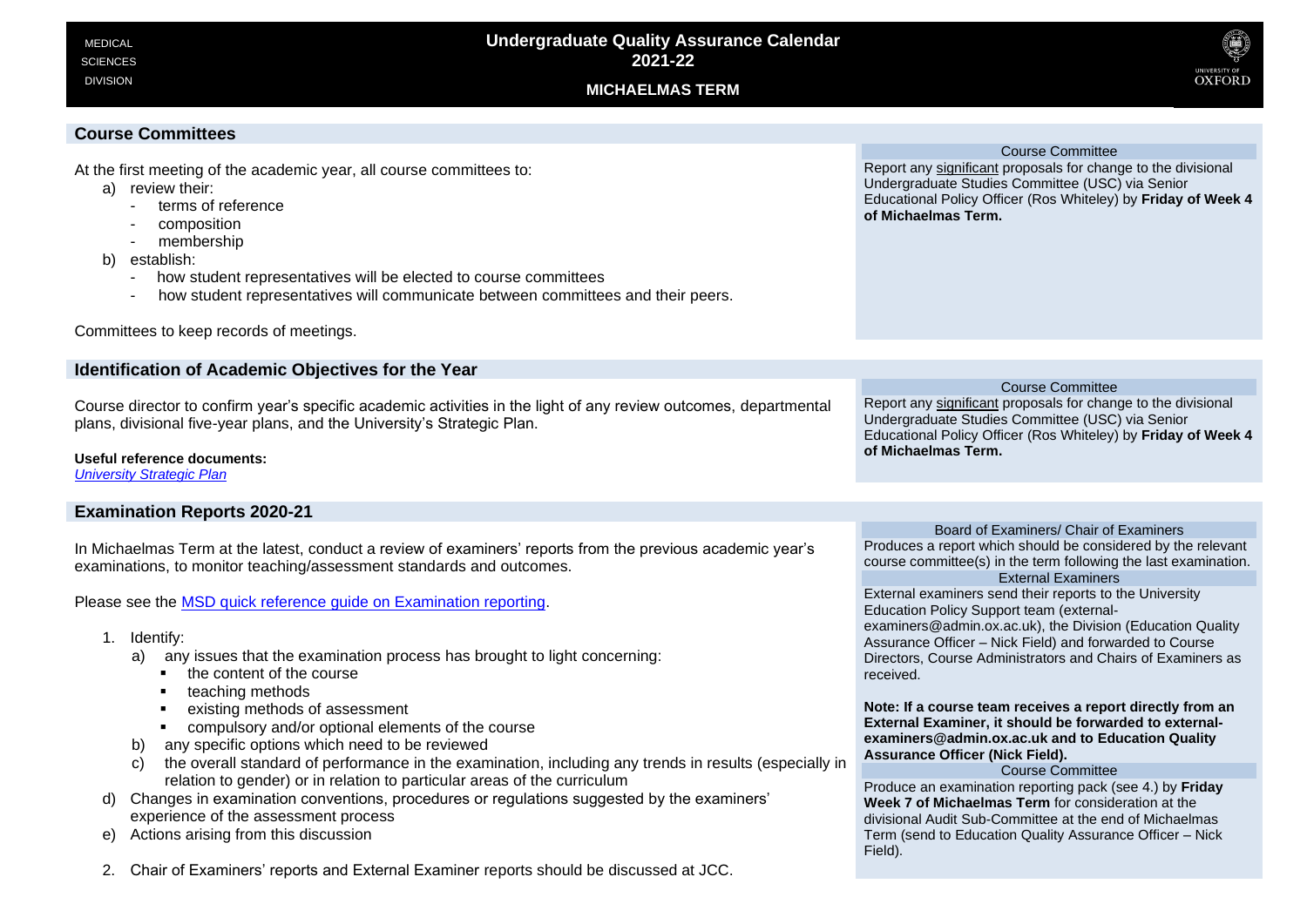DIVISION





# **Course Committees**

At the first meeting of the academic year, all course committees to:

- a) review their:
	- terms of reference
	- composition
	- membership
- b) establish:
	- how student representatives will be elected to course committees
	- how student representatives will communicate between committees and their peers.

#### Committees to keep records of meetings. **Identification of Academic Objectives for the Year** Course director to confirm year's specific academic activities in the light of any review outcomes, departmental plans, divisional five-year plans, and the University's Strategic Plan. **Useful reference documents:** *[University Strategic Plan](https://www.ox.ac.uk/about/organisation/strategic-plan-2018-23)* Course Committee Report any significant proposals for change to the divisional Undergraduate Studies Committee (USC) via Senior Educational Policy Officer (Ros Whiteley) by **Friday of Week 4 of Michaelmas Term.**

# **Examination Reports 2020-21**

In Michaelmas Term at the latest, conduct a review of examiners' reports from the previous academic year's examinations, to monitor teaching/assessment standards and outcomes.

Please see the [MSD quick reference guide on Examination reporting.](https://sharepoint.nexus.ox.ac.uk/sites/medsci/msd-education-team/msd-ug-resources/Shared%20Documents/Examination%20Reporting_UG.pdf)

- 1. Identify:
	- a) any issues that the examination process has brought to light concerning:
		- the content of the course
		- teaching methods
		- existing methods of assessment
		- compulsory and/or optional elements of the course
	- b) any specific options which need to be reviewed
	- c) the overall standard of performance in the examination, including any trends in results (especially in relation to gender) or in relation to particular areas of the curriculum
- d) Changes in examination conventions, procedures or regulations suggested by the examiners' experience of the assessment process
- e) Actions arising from this discussion

2. Chair of Examiners' reports and External Examiner reports should be discussed at JCC.

Course Committee

Report any significant proposals for change to the divisional Undergraduate Studies Committee (USC) via Senior Educational Policy Officer (Ros Whiteley) by **Friday of Week 4 of Michaelmas Term.**

Board of Examiners/ Chair of Examiners Produces a report which should be considered by the relevant course committee(s) in the term following the last examination. External Examiners External examiners send their reports to the University Education Policy Support team (externalexaminers@admin.ox.ac.uk), the Division (Education Quality Assurance Officer – Nick Field) and forwarded to Course Directors, Course Administrators and Chairs of Examiners as received.

**Note: If a course team receives a report directly from an External Examiner, it should be forwarded to externalexaminers@admin.ox.ac.uk and to Education Quality Assurance Officer (Nick Field).**

# Course Committee

Produce an examination reporting pack (see 4.) by **Friday Week 7 of Michaelmas Term** for consideration at the divisional Audit Sub-Committee at the end of Michaelmas Term (send to Education Quality Assurance Officer – Nick Field).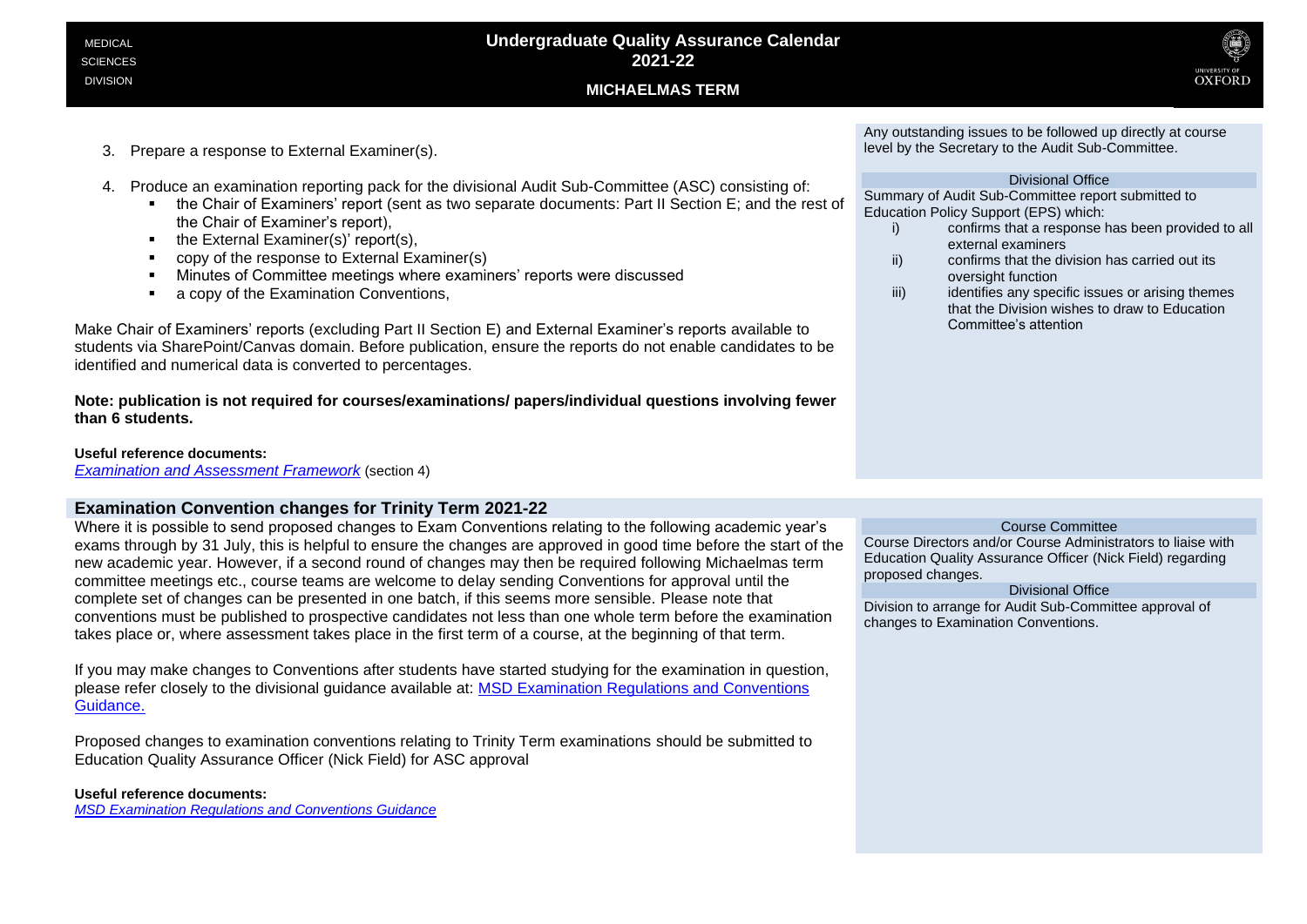

- 3. Prepare a response to External Examiner(s).
- 4. Produce an examination reporting pack for the divisional Audit Sub-Committee (ASC) consisting of:
	- the Chair of Examiners' report (sent as two separate documents: Part II Section E; and the rest of the Chair of Examiner's report),
	- the External Examiner(s)' report(s),
	- copy of the response to External Examiner(s)
	- Minutes of Committee meetings where examiners' reports were discussed
	- a copy of the Examination Conventions,

Make Chair of Examiners' reports (excluding Part II Section E) and External Examiner's reports available to students via SharePoint/Canvas domain. Before publication, ensure the reports do not enable candidates to be identified and numerical data is converted to percentages.

**Note: publication is not required for courses/examinations/ papers/individual questions involving fewer than 6 students.** 

# **Useful reference documents:**

*[Examination and Assessment Framework](https://academic.admin.ox.ac.uk/files/examsandassessmentframework2019-20pdf)* (section 4)

# **Examination Convention changes for Trinity Term 2021-22**

Where it is possible to send proposed changes to Exam Conventions relating to the following academic year's exams through by 31 July, this is helpful to ensure the changes are approved in good time before the start of the new academic year. However, if a second round of changes may then be required following Michaelmas term committee meetings etc., course teams are welcome to delay sending Conventions for approval until the complete set of changes can be presented in one batch, if this seems more sensible. Please note that conventions must be published to prospective candidates not less than one whole term before the examination takes place or, where assessment takes place in the first term of a course, at the beginning of that term.

If you may make changes to Conventions after students have started studying for the examination in question, please refer closely to the divisional guidance available at: [MSD Examination Regulations and Conventions](https://sharepoint.nexus.ox.ac.uk/sites/medsci/msd-education-team/msd-ug-resources/Shared%20Documents/Examination%20Regulations%20and%20Conventions_UG.pdf)  [Guidance.](https://sharepoint.nexus.ox.ac.uk/sites/medsci/msd-education-team/msd-ug-resources/Shared%20Documents/Examination%20Regulations%20and%20Conventions_UG.pdf)

Proposed changes to examination conventions relating to Trinity Term examinations should be submitted to Education Quality Assurance Officer (Nick Field) for ASC approval

# **Useful reference documents:**

*[MSD Examination Regulations and Conventions Guidance](https://sharepoint.nexus.ox.ac.uk/sites/medsci/msd-education-team/msd-ug-resources/Shared%20Documents/Examination%20Regulations%20and%20Conventions_UG.pdf)*

Any outstanding issues to be followed up directly at course level by the Secretary to the Audit Sub-Committee.

### Divisional Office

Summary of Audit Sub-Committee report submitted to Education Policy Support (EPS) which:

- i) confirms that a response has been provided to all external examiners
- ii) confirms that the division has carried out its oversight function
- iii) iii) identifies any specific issues or arising themes that the Division wishes to draw to Education Committee's attention

### Course Committee

Course Directors and/or Course Administrators to liaise with Education Quality Assurance Officer (Nick Field) regarding proposed changes.

Divisional Office

Division to arrange for Audit Sub-Committee approval of changes to Examination Conventions.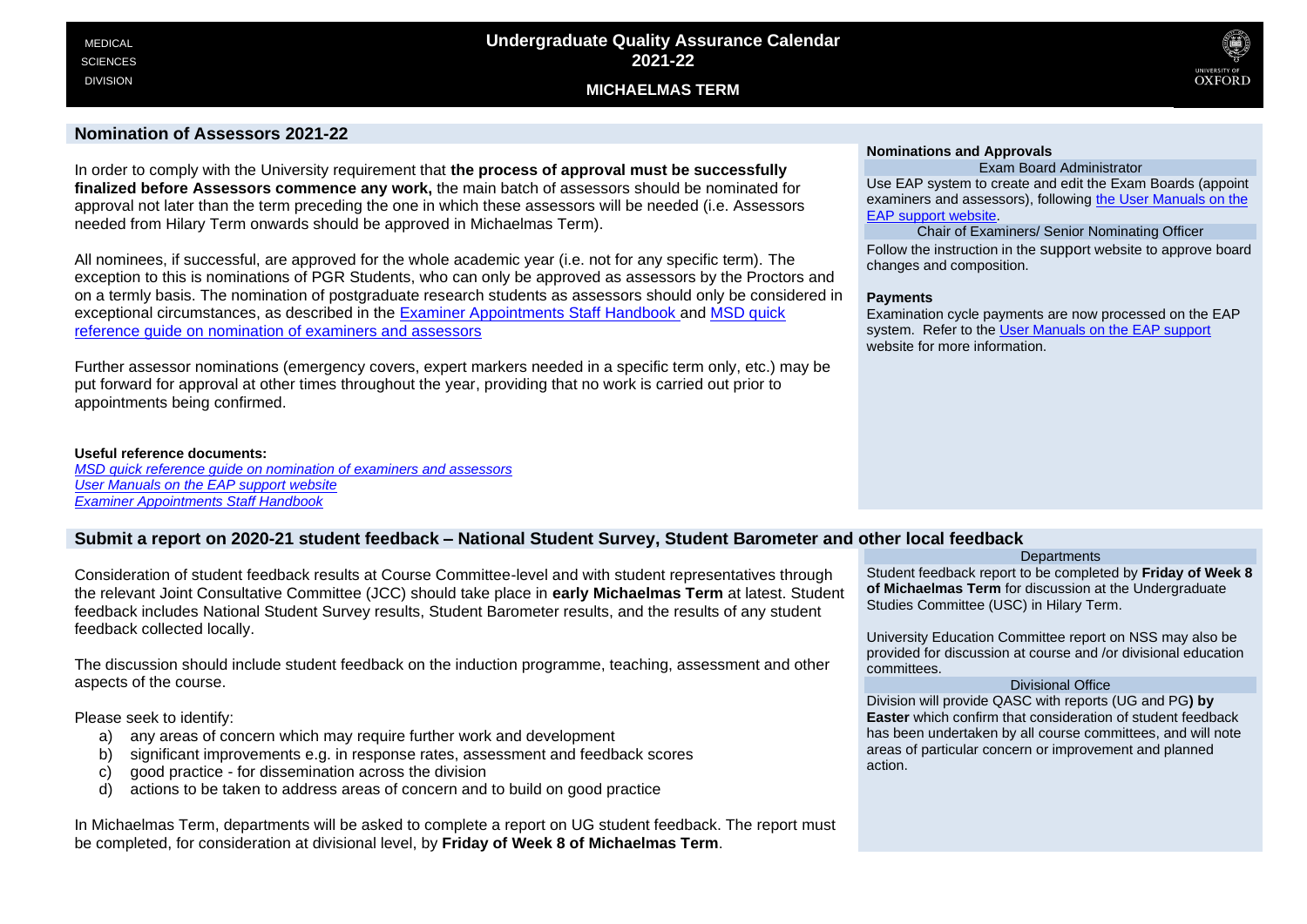

# **Nomination of Assessors 2021-22**

In order to comply with the University requirement that **the process of approval must be successfully finalized before Assessors commence any work,** the main batch of assessors should be nominated for approval not later than the term preceding the one in which these assessors will be needed (i.e. Assessors needed from Hilary Term onwards should be approved in Michaelmas Term).

All nominees, if successful, are approved for the whole academic year (i.e. not for any specific term). The exception to this is nominations of PGR Students, who can only be approved as assessors by the Proctors and on a termly basis. The nomination of postgraduate research students as assessors should only be considered in exceptional circumstances, as described in the [Examiner Appointments Staff Handbook](https://academic.admin.ox.ac.uk/examiner-appointments-and-payments) and [MSD quick](https://sharepoint.nexus.ox.ac.uk/sites/medsci/msd-education-team/msd-ug-resources/Shared%20Documents/Examiner%20and%20Assessor%20Nominations_UG.pdf)  [reference guide on nomination of examiners and assessors](https://sharepoint.nexus.ox.ac.uk/sites/medsci/msd-education-team/msd-ug-resources/Shared%20Documents/Examiner%20and%20Assessor%20Nominations_UG.pdf)

Further assessor nominations (emergency covers, expert markers needed in a specific term only, etc.) may be put forward for approval at other times throughout the year, providing that no work is carried out prior to appointments being confirmed.

#### **Useful reference documents:**

*[MSD quick reference guide on nomination of examiners and assessors](https://sharepoint.nexus.ox.ac.uk/sites/medsci/msd-education-team/msd-ug-resources/Shared%20Documents/Examiner%20and%20Assessor%20Nominations_UG.pdf) [User Manuals on the EAP support website](https://academic.admin.ox.ac.uk/getting-help-with-eap#tab-1219126) [Examiner Appointments Staff Handbook](https://academic.admin.ox.ac.uk/examiner-appointments-and-payments)*

### **Nominations and Approvals**

#### Exam Board Administrator

Use EAP system to create and edit the Exam Boards (appoint examiners and assessors), following [the User Manuals on the](https://academic.admin.ox.ac.uk/getting-help-with-eap#tab-1219126)  [EAP support website.](https://academic.admin.ox.ac.uk/getting-help-with-eap#tab-1219126)

Chair of Examiners/ Senior Nominating Officer Follow the instruction in the support website to approve board changes and composition.

### **Payments**

Examination cycle payments are now processed on the EAP system. Refer to the [User Manuals on the EAP support](https://academic.admin.ox.ac.uk/getting-help-with-eap#tab-1219126) website for more information.

# **Submit a report on 2020-21 student feedback – National Student Survey, Student Barometer and other local feedback**

Consideration of student feedback results at Course Committee-level and with student representatives through the relevant Joint Consultative Committee (JCC) should take place in **early Michaelmas Term** at latest. Student feedback includes National Student Survey results, Student Barometer results, and the results of any student feedback collected locally.

The discussion should include student feedback on the induction programme, teaching, assessment and other aspects of the course.

Please seek to identify:

- a) any areas of concern which may require further work and development
- b) significant improvements e.g. in response rates, assessment and feedback scores
- c) good practice for dissemination across the division
- d) actions to be taken to address areas of concern and to build on good practice

In Michaelmas Term, departments will be asked to complete a report on UG student feedback. The report must be completed, for consideration at divisional level, by **Friday of Week 8 of Michaelmas Term**.

#### **Departments**

Student feedback report to be completed by **Friday of Week 8 of Michaelmas Term** for discussion at the Undergraduate Studies Committee (USC) in Hilary Term.

University Education Committee report on NSS may also be provided for discussion at course and /or divisional education committees.

### Divisional Office

Division will provide QASC with reports (UG and PG**) by Easter** which confirm that consideration of student feedback has been undertaken by all course committees, and will note areas of particular concern or improvement and planned action.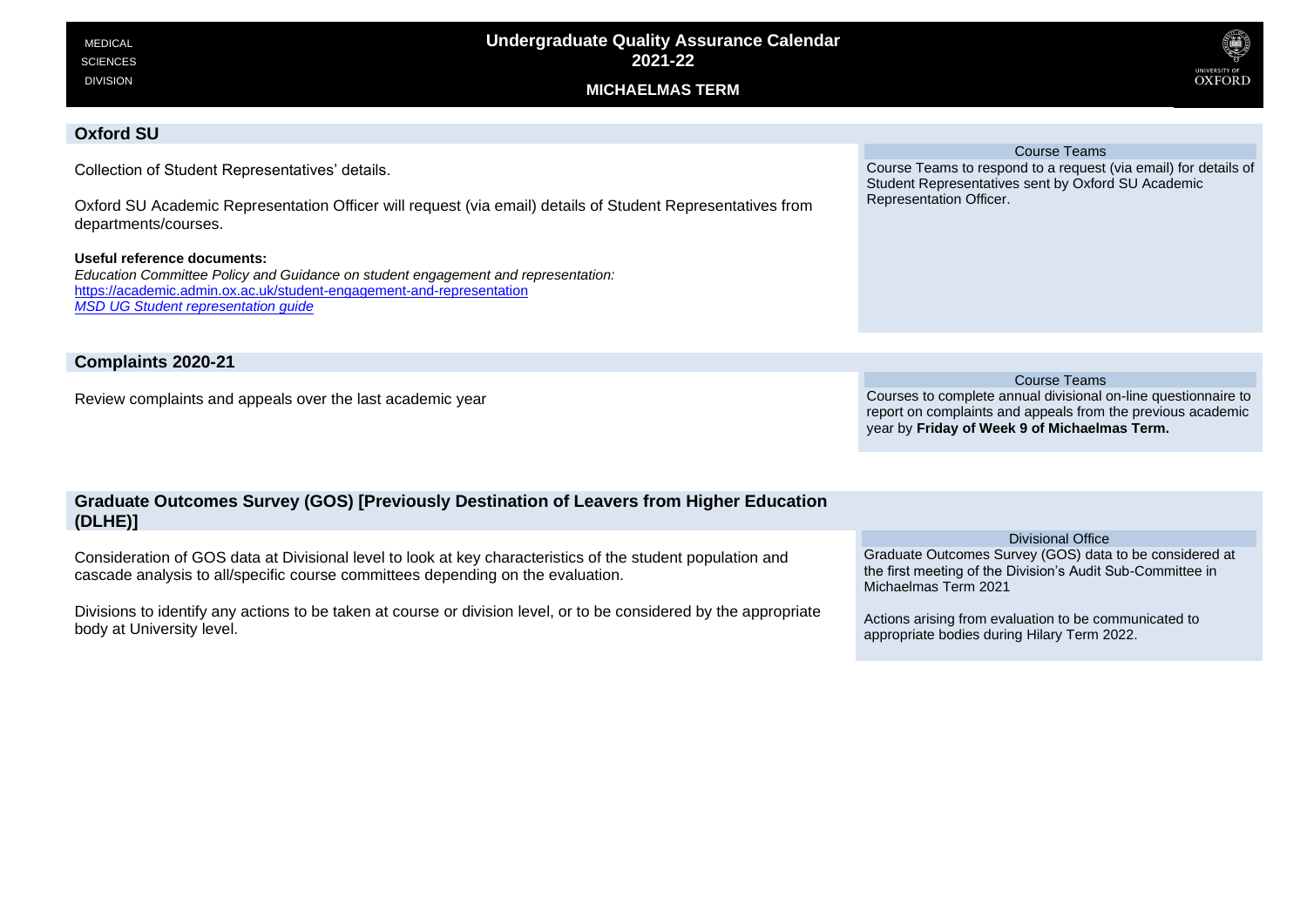| <b>MEDICAL</b><br><b>SCIENCES</b><br><b>DIVISION</b>                                                                                                                                                                                    | <b>Undergraduate Quality Assurance Calendar</b><br>2021-22<br><b>MICHAELMAS TERM</b> | Q<br>UNIVERSITY OF<br><b>OXFORD</b>                                                                                                              |
|-----------------------------------------------------------------------------------------------------------------------------------------------------------------------------------------------------------------------------------------|--------------------------------------------------------------------------------------|--------------------------------------------------------------------------------------------------------------------------------------------------|
| <b>Oxford SU</b>                                                                                                                                                                                                                        |                                                                                      | <b>Course Teams</b>                                                                                                                              |
| Collection of Student Representatives' details.<br>Oxford SU Academic Representation Officer will request (via email) details of Student Representatives from<br>departments/courses.                                                   |                                                                                      | Course Teams to respond to a request (via email) for details of<br>Student Representatives sent by Oxford SU Academic<br>Representation Officer. |
| Useful reference documents:<br>Education Committee Policy and Guidance on student engagement and representation:<br>https://academic.admin.ox.ac.uk/student-engagement-and-representation<br><b>MSD UG Student representation quide</b> |                                                                                      |                                                                                                                                                  |
| Complaints 2020-21                                                                                                                                                                                                                      |                                                                                      |                                                                                                                                                  |

Review complaints and appeals over the last academic year

Course Teams Courses to complete annual divisional on-line questionnaire to report on complaints and appeals from the previous academic year by **Friday of Week 9 of Michaelmas Term.**

# **Graduate Outcomes Survey (GOS) [Previously Destination of Leavers from Higher Education (DLHE)]**

Consideration of GOS data at Divisional level to look at key characteristics of the student population and cascade analysis to all/specific course committees depending on the evaluation.

Divisions to identify any actions to be taken at course or division level, or to be considered by the appropriate body at University level.

### Divisional Office

Graduate Outcomes Survey (GOS) data to be considered at the first meeting of the Division's Audit Sub-Committee in Michaelmas Term 2021

Actions arising from evaluation to be communicated to appropriate bodies during Hilary Term 2022.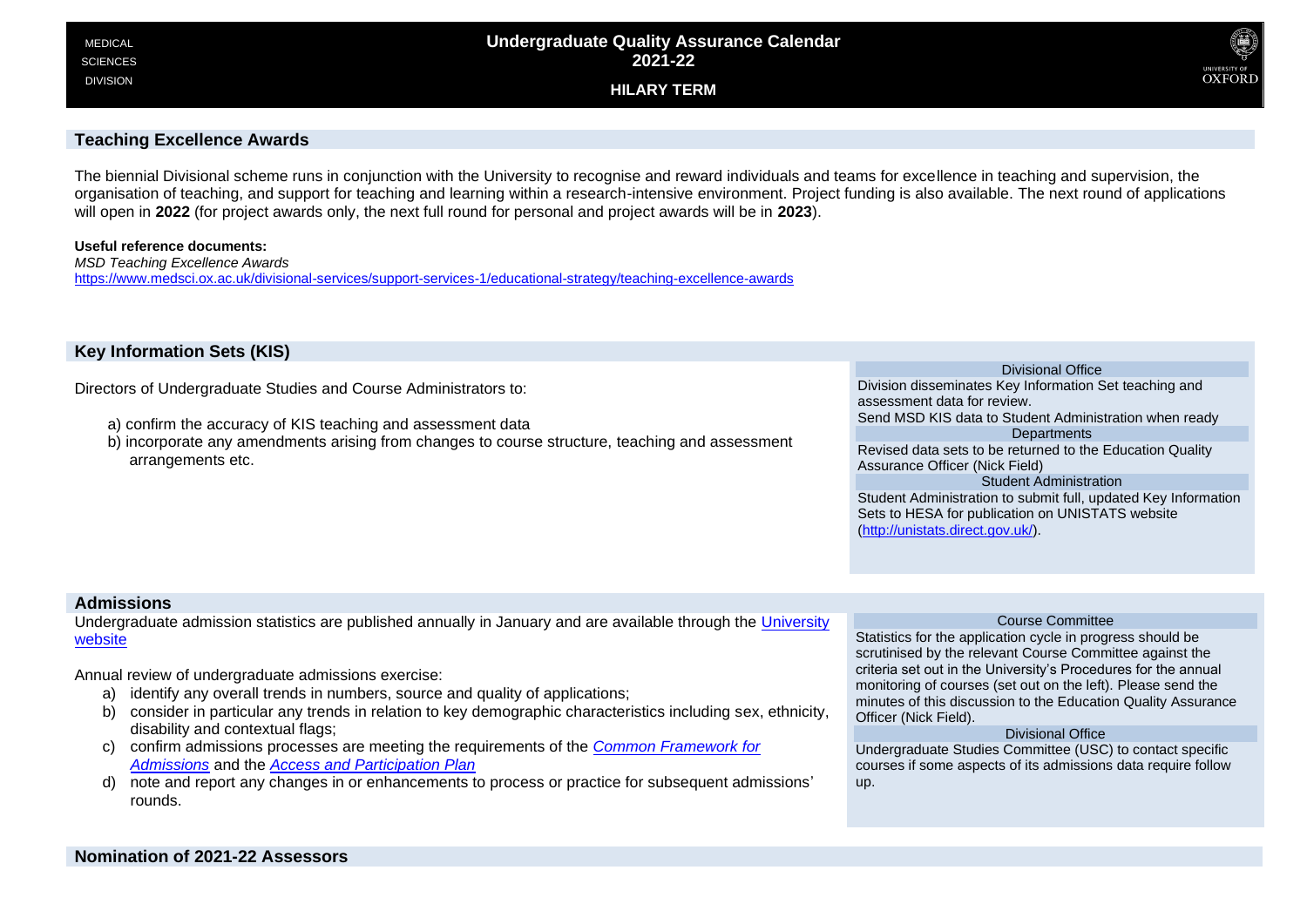

# **Teaching Excellence Awards**

The biennial Divisional scheme runs in conjunction with the University to recognise and reward individuals and teams for excellence in teaching and supervision, the organisation of teaching, and support for teaching and learning within a research-intensive environment. Project funding is also available. The next round of applications will open in **2022** (for project awards only, the next full round for personal and project awards will be in **2023**).

### **Useful reference documents:**

*MSD Teaching Excellence Awards* https://www.medsci.ox.ac.uk/divisional-services/support-services-1/educational-strategy/teaching-excellence-awards

# **Key Information Sets (KIS)**

Directors of Undergraduate Studies and Course Administrators to:

- a) confirm the accuracy of KIS teaching and assessment data
- b) incorporate any amendments arising from changes to course structure, teaching and assessment arrangements etc.

### Divisional Office

Division disseminates Key Information Set teaching and assessment data for review. Send MSD KIS data to Student Administration when ready **Departments** 

Revised data sets to be returned to the Education Quality Assurance Officer (Nick Field)

Student Administration Student Administration to submit full, updated Key Information Sets to HESA for publication on UNISTATS website (http://unistats.direct.gov.uk/).

# **Admissions**

Undergraduate admission statistics are published annually in January and are available through the University website

Annual review of undergraduate admissions exercise:

- a) identify any overall trends in numbers, source and quality of applications;
- b) consider in particular any trends in relation to key demographic characteristics including sex, ethnicity, disability and contextual flags;
- c) confirm admissions processes are meeting the requirements of the *Common Framework for Admissions* and the *Access and Participation Plan*
- d) note and report any changes in or enhancements to process or practice for subsequent admissions' rounds.

### Course Committee

Statistics for the application cycle in progress should be scrutinised by the relevant Course Committee against the criteria set out in the University's Procedures for the annual monitoring of courses (set out on the left). Please send the minutes of this discussion to the Education Quality Assurance Officer (Nick Field).

### Divisional Office

Undergraduate Studies Committee (USC) to contact specific courses if some aspects of its admissions data require follow up.

**Nomination of 2021-22 Assessors**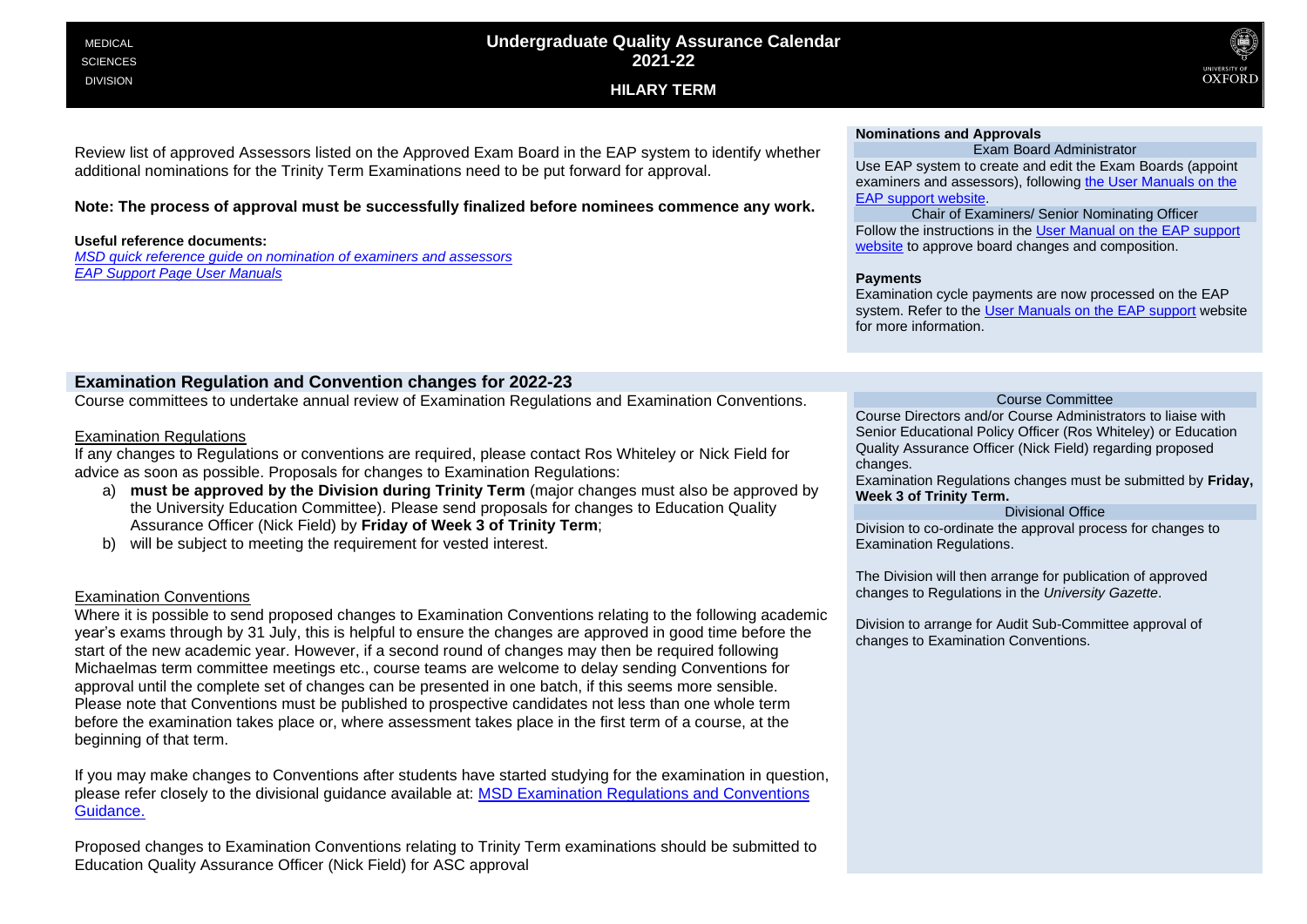# **Undergraduate Quality Assurance Calendar 2021-22**

**HILARY TERM**



# Review list of approved Assessors listed on the Approved Exam Board in the EAP system to identify whether additional nominations for the Trinity Term Examinations need to be put forward for approval.

# **Note: The process of approval must be successfully finalized before nominees commence any work.**

# **Useful reference documents:**

*[MSD quick reference guide on nomination of examiners and assessors](https://sharepoint.nexus.ox.ac.uk/sites/medsci/msd-education-team/msd-ug-resources/Shared%20Documents/Examiner%20and%20Assessor%20Nominations_UG.pdf) [EAP Support Page User Manuals](https://academic.admin.ox.ac.uk/getting-help-with-eap#tab-1219126)*

# **Nominations and Approvals**

Exam Board Administrator Use EAP system to create and edit the Exam Boards (appoint examiners and assessors), following [the User Manuals on the](https://academic.admin.ox.ac.uk/getting-help-with-eap#tab-1219126)  [EAP support website.](https://academic.admin.ox.ac.uk/getting-help-with-eap#tab-1219126)

Chair of Examiners/ Senior Nominating Officer Follow the instructions in the [User Manual on the EAP support](https://academic.admin.ox.ac.uk/getting-help-with-eap#tab-1219126) website to approve board changes and composition.

### **Payments**

Examination cycle payments are now processed on the EAP system. Refer to the [User Manuals on the EAP support](https://academic.admin.ox.ac.uk/getting-help-with-eap#tab-1219126) website for more information.

# **Examination Regulation and Convention changes for 2022-23**

Course committees to undertake annual review of Examination Regulations and Examination Conventions.

# Examination Regulations

If any changes to Regulations or conventions are required, please contact Ros Whiteley or Nick Field for advice as soon as possible. Proposals for changes to Examination Regulations:

- a) **must be approved by the Division during Trinity Term** (major changes must also be approved by the University Education Committee). Please send proposals for changes to Education Quality Assurance Officer (Nick Field) by **Friday of Week 3 of Trinity Term**;
- b) will be subject to meeting the requirement for vested interest.

# Examination Conventions

Where it is possible to send proposed changes to Examination Conventions relating to the following academic year's exams through by 31 July, this is helpful to ensure the changes are approved in good time before the start of the new academic year. However, if a second round of changes may then be required following Michaelmas term committee meetings etc., course teams are welcome to delay sending Conventions for approval until the complete set of changes can be presented in one batch, if this seems more sensible. Please note that Conventions must be published to prospective candidates not less than one whole term before the examination takes place or, where assessment takes place in the first term of a course, at the beginning of that term.

If you may make changes to Conventions after students have started studying for the examination in question, please refer closely to the divisional guidance available at: [MSD Examination Regulations and Conventions](https://sharepoint.nexus.ox.ac.uk/sites/medsci/msd-education-team/msd-ug-resources/Shared%20Documents/Examination%20Regulations%20and%20Conventions_UG.pdf)  [Guidance.](https://sharepoint.nexus.ox.ac.uk/sites/medsci/msd-education-team/msd-ug-resources/Shared%20Documents/Examination%20Regulations%20and%20Conventions_UG.pdf)

Proposed changes to Examination Conventions relating to Trinity Term examinations should be submitted to Education Quality Assurance Officer (Nick Field) for ASC approval

### Course Committee

Course Directors and/or Course Administrators to liaise with Senior Educational Policy Officer (Ros Whiteley) or Education Quality Assurance Officer (Nick Field) regarding proposed changes.

Examination Regulations changes must be submitted by **Friday, Week 3 of Trinity Term.**

# Divisional Office

Division to co-ordinate the approval process for changes to Examination Regulations.

The Division will then arrange for publication of approved changes to Regulations in the *University Gazette*.

Division to arrange for Audit Sub-Committee approval of changes to Examination Conventions.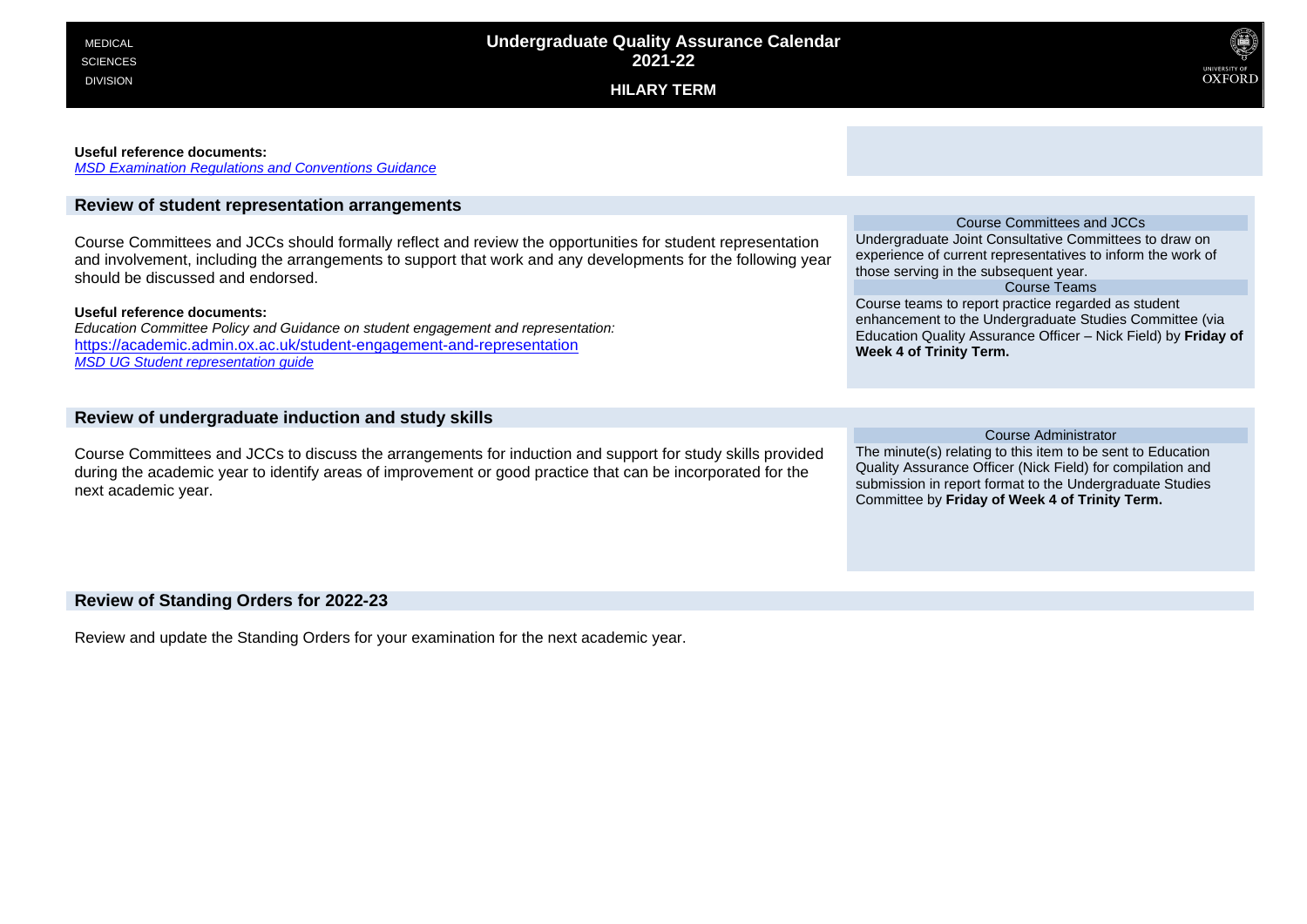

#### **Useful reference documents:**

*[MSD Examination Regulations and Conventions Guidance](https://sharepoint.nexus.ox.ac.uk/sites/medsci/msd-education-team/msd-ug-resources/Shared%20Documents/Examination%20Regulations%20and%20Conventions_UG.pdf)*

# **Review of student representation arrangements**

Course Committees and JCCs should formally reflect and review the opportunities for student representation and involvement, including the arrangements to support that work and any developments for the following year should be discussed and endorsed.

#### **Useful reference documents:**

*Education Committee Policy and Guidance on student engagement and representation:* <https://academic.admin.ox.ac.uk/student-engagement-and-representation> *[MSD UG Student representation guide](https://sharepoint.nexus.ox.ac.uk/sites/medsci/msd-education-team/msd-ug-resources/Shared%20Documents/Student%20engagement%20and%20representation_UG%20and%20PGT.pdf)*

# **Review of undergraduate induction and study skills**

Course Committees and JCCs to discuss the arrangements for induction and support for study skills provided during the academic year to identify areas of improvement or good practice that can be incorporated for the next academic year.

### Course Committees and JCCs

Undergraduate Joint Consultative Committees to draw on experience of current representatives to inform the work of those serving in the subsequent year.

#### Course Teams

Course teams to report practice regarded as student enhancement to the Undergraduate Studies Committee (via Education Quality Assurance Officer – Nick Field) by **Friday of Week 4 of Trinity Term.**

#### Course Administrator

The minute(s) relating to this item to be sent to Education Quality Assurance Officer (Nick Field) for compilation and submission in report format to the Undergraduate Studies Committee by **Friday of Week 4 of Trinity Term.**

### **Review of Standing Orders for 2022-23**

Review and update the Standing Orders for your examination for the next academic year.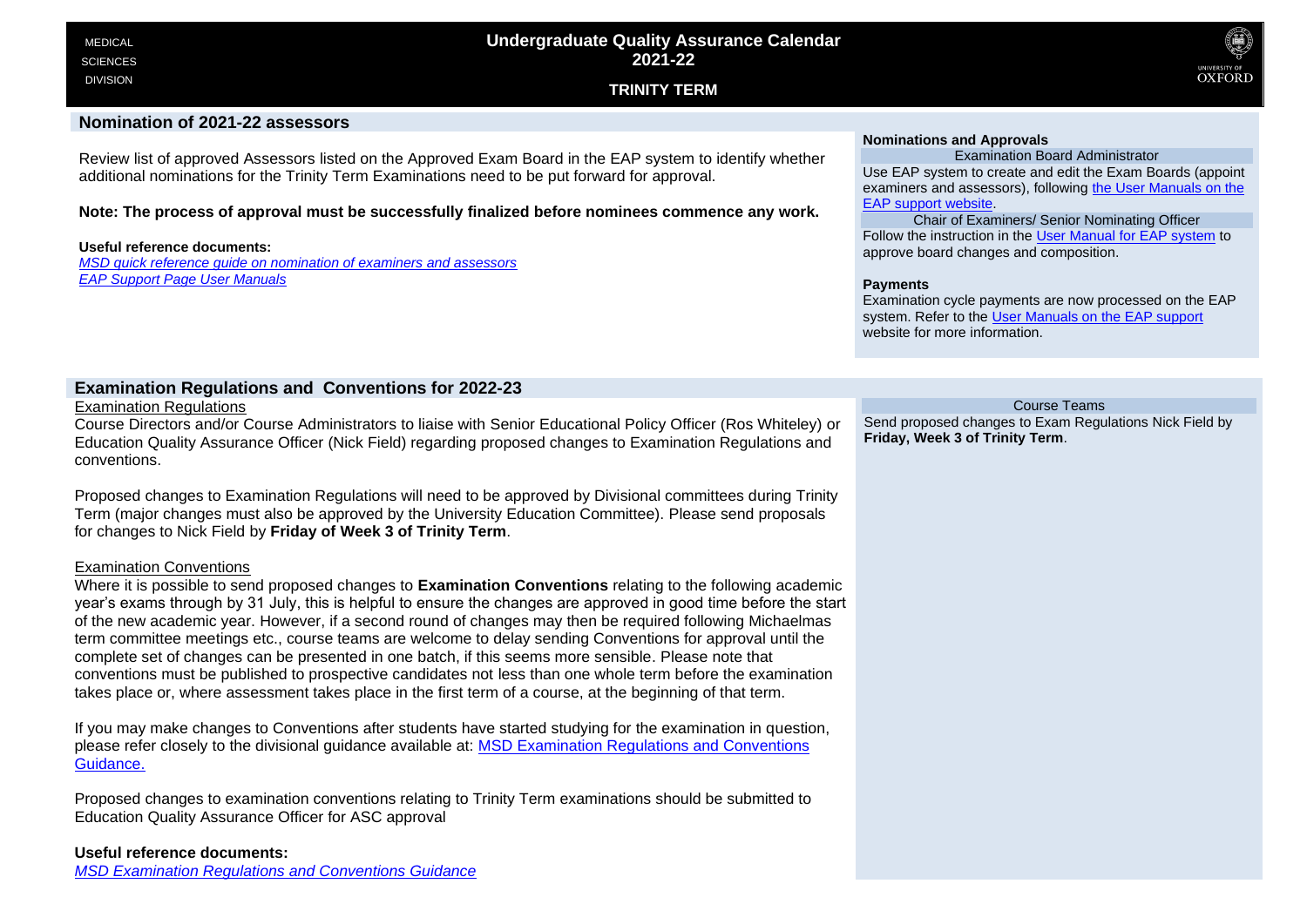**TRINITY TERM**



### **Nomination of 2021-22 assessors**

Review list of approved Assessors listed on the Approved Exam Board in the EAP system to identify whether additional nominations for the Trinity Term Examinations need to be put forward for approval.

**Note: The process of approval must be successfully finalized before nominees commence any work.**

#### **Useful reference documents:**

*[MSD quick reference guide on nomination of examiners and assessors](https://sharepoint.nexus.ox.ac.uk/sites/medsci/msd-education-team/msd-ug-resources/Shared%20Documents/Examiner%20and%20Assessor%20Nominations_UG.pdf) [EAP Support Page User Manuals](https://academic.admin.ox.ac.uk/getting-help-with-eap#tab-1219126)*

### **Nominations and Approvals**

Examination Board Administrator Use EAP system to create and edit the Exam Boards (appoint examiners and assessors), following [the User Manuals on the](https://academic.admin.ox.ac.uk/getting-help-with-eap#tab-1219126)  [EAP support website.](https://academic.admin.ox.ac.uk/getting-help-with-eap#tab-1219126)

Chair of Examiners/ Senior Nominating Officer Follow the instruction in the [User Manual for EAP system](https://itservicesprojects.web.ox.ac.uk/eap-support#collapse1217866) to approve board changes and composition.

#### **Payments**

Examination cycle payments are now processed on the EAP system. Refer to the [User Manuals on the EAP support](https://academic.admin.ox.ac.uk/getting-help-with-eap#tab-1219126) website for more information.

### **Examination Regulations and Conventions for 2022-23**

Examination Regulations

Course Directors and/or Course Administrators to liaise with Senior Educational Policy Officer (Ros Whiteley) or Education Quality Assurance Officer (Nick Field) regarding proposed changes to Examination Regulations and conventions.

Proposed changes to Examination Regulations will need to be approved by Divisional committees during Trinity Term (major changes must also be approved by the University Education Committee). Please send proposals for changes to Nick Field by **Friday of Week 3 of Trinity Term**.

### Examination Conventions

Where it is possible to send proposed changes to **Examination Conventions** relating to the following academic year's exams through by 31 July, this is helpful to ensure the changes are approved in good time before the start of the new academic year. However, if a second round of changes may then be required following Michaelmas term committee meetings etc., course teams are welcome to delay sending Conventions for approval until the complete set of changes can be presented in one batch, if this seems more sensible. Please note that conventions must be published to prospective candidates not less than one whole term before the examination takes place or, where assessment takes place in the first term of a course, at the beginning of that term.

If you may make changes to Conventions after students have started studying for the examination in question, please refer closely to the divisional guidance available at: [MSD Examination Regulations and Conventions](https://sharepoint.nexus.ox.ac.uk/sites/medsci/msd-education-team/msd-ug-resources/Shared%20Documents/Examination%20Regulations%20and%20Conventions_UG.pdf)  [Guidance.](https://sharepoint.nexus.ox.ac.uk/sites/medsci/msd-education-team/msd-ug-resources/Shared%20Documents/Examination%20Regulations%20and%20Conventions_UG.pdf)

Proposed changes to examination conventions relating to Trinity Term examinations should be submitted to Education Quality Assurance Officer for ASC approval

### **Useful reference documents:**

*[MSD Examination Regulations and Conventions Guidance](https://sharepoint.nexus.ox.ac.uk/sites/medsci/msd-education-team/msd-ug-resources/Shared%20Documents/Examination%20Regulations%20and%20Conventions_UG.pdf)*

Course Teams Send proposed changes to Exam Regulations Nick Field by **Friday, Week 3 of Trinity Term**.

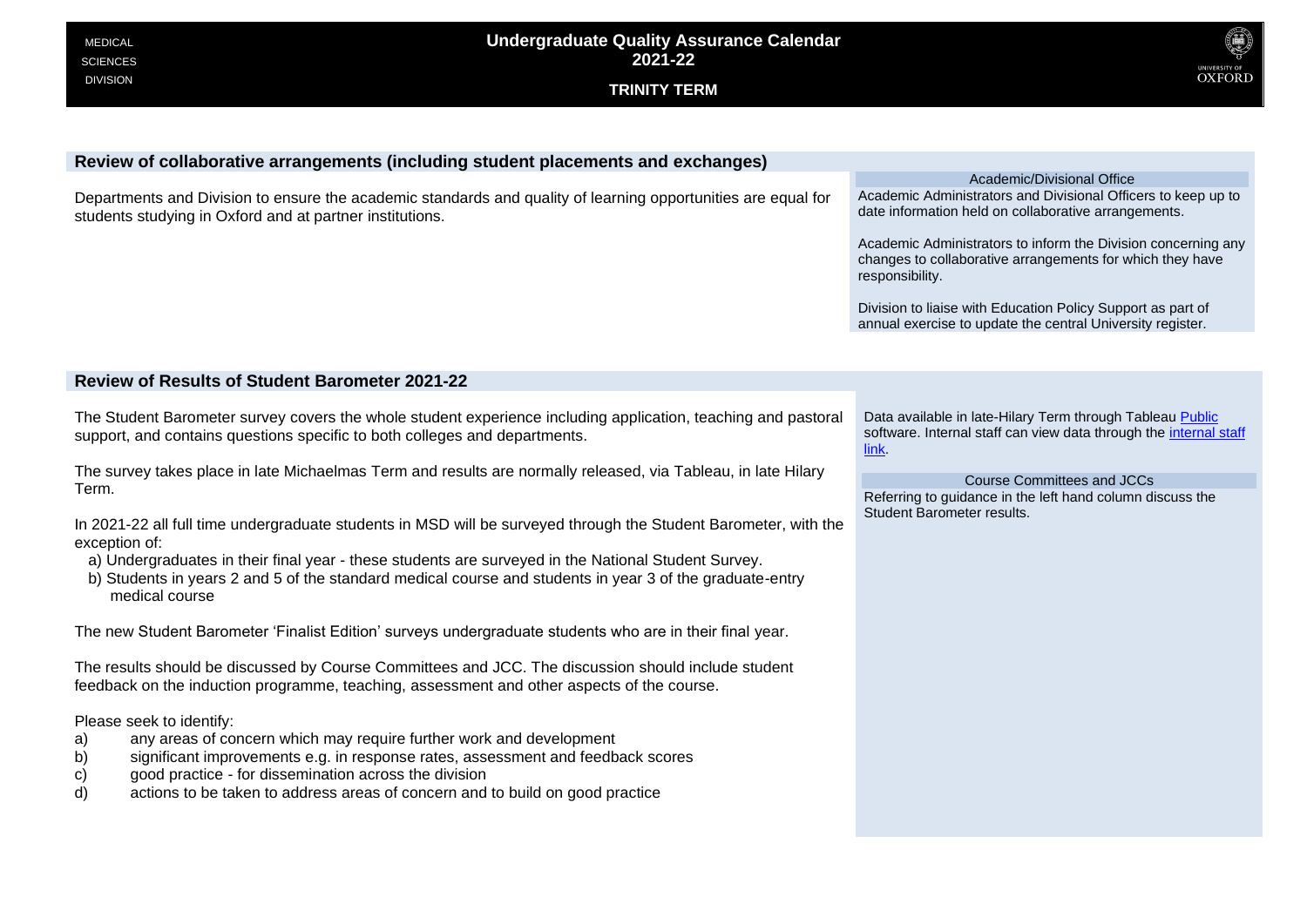

# **Review of collaborative arrangements (including student placements and exchanges)**

Departments and Division to ensure the academic standards and quality of learning opportunities are equal for students studying in Oxford and at partner institutions.

Academic/Divisional Office Academic Administrators and Divisional Officers to keep up to date information held on collaborative arrangements.

Academic Administrators to inform the Division concerning any changes to collaborative arrangements for which they have responsibility.

Division to liaise with Education Policy Support as part of annual exercise to update the central University register.

# **Review of Results of Student Barometer 2021-22**

The Student Barometer survey covers the whole student experience including application, teaching and pastoral support, and contains questions specific to both colleges and departments.

The survey takes place in late Michaelmas Term and results are normally released, via Tableau, in late Hilary Term.

In 2021-22 all full time undergraduate students in MSD will be surveyed through the Student Barometer, with the exception of:

- a) Undergraduates in their final year these students are surveyed in the National Student Survey.
- b) Students in years 2 and 5 of the standard medical course and students in year 3 of the graduate-entry medical course

The new Student Barometer 'Finalist Edition' surveys undergraduate students who are in their final year.

The results should be discussed by Course Committees and JCC. The discussion should include student feedback on the induction programme, teaching, assessment and other aspects of the course.

Please seek to identify:

- a) any areas of concern which may require further work and development
- b) significant improvements e.g. in response rates, assessment and feedback scores
- c) good practice for dissemination across the division
- d) actions to be taken to address areas of concern and to build on good practice

Data available in late-Hilary Term through Tableau [Public](https://academic.admin.ox.ac.uk/student-statistics) software. Internal staff can view data through the [internal staff](https://bits.uas.ox.ac.uk/#/workbooks/9073/views)  [link.](https://bits.uas.ox.ac.uk/#/workbooks/9073/views)

Course Committees and JCCs Referring to guidance in the left hand column discuss the Student Barometer results.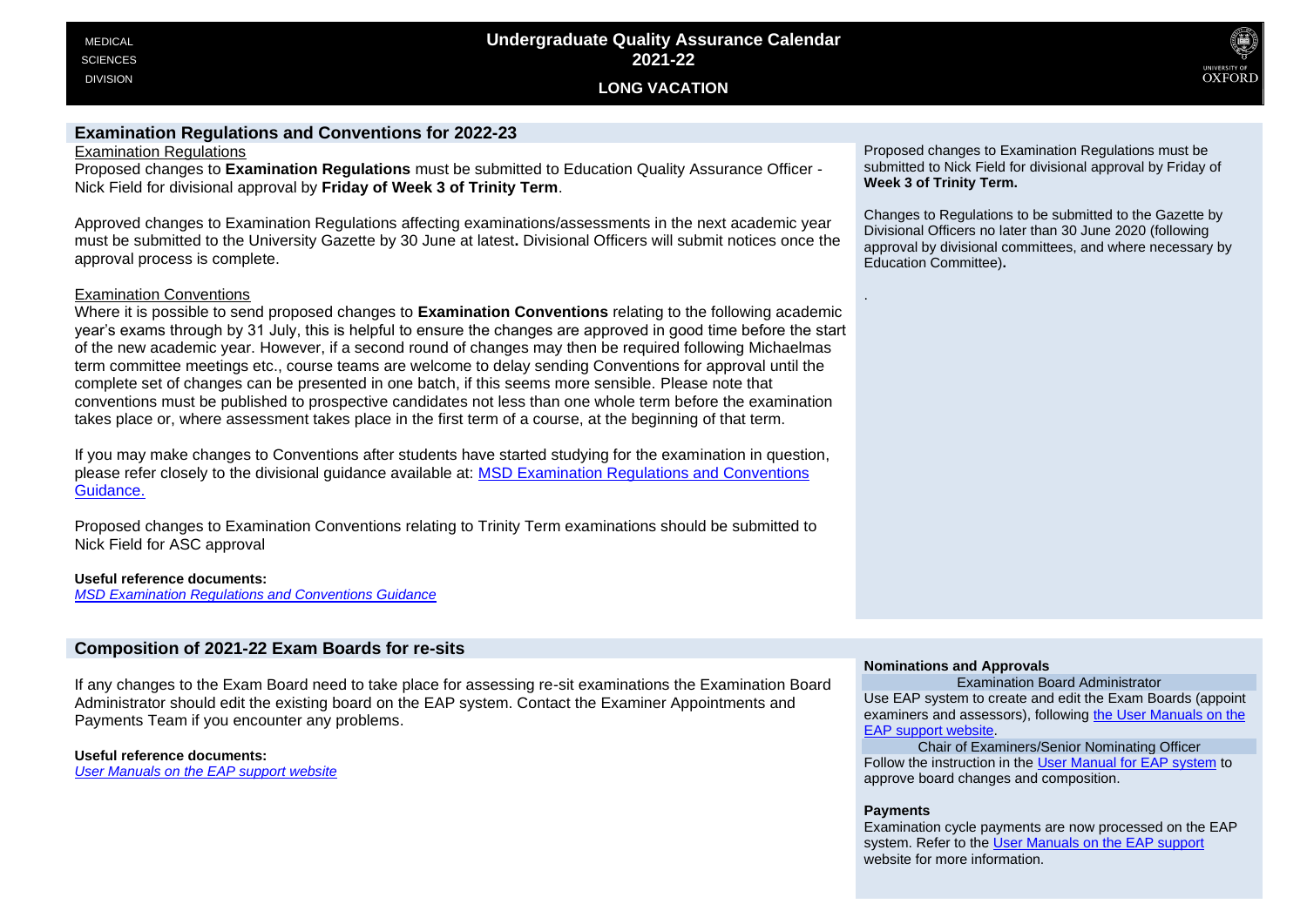

# **Examination Regulations and Conventions for 2022-23**

Examination Regulations

Proposed changes to **Examination Regulations** must be submitted to Education Quality Assurance Officer - Nick Field for divisional approval by **Friday of Week 3 of Trinity Term**.

Approved changes to Examination Regulations affecting examinations/assessments in the next academic year must be submitted to the University Gazette by 30 June at latest**.** Divisional Officers will submit notices once the approval process is complete.

# Examination Conventions

Where it is possible to send proposed changes to **Examination Conventions** relating to the following academic year's exams through by 31 July, this is helpful to ensure the changes are approved in good time before the start of the new academic year. However, if a second round of changes may then be required following Michaelmas term committee meetings etc., course teams are welcome to delay sending Conventions for approval until the complete set of changes can be presented in one batch, if this seems more sensible. Please note that conventions must be published to prospective candidates not less than one whole term before the examination takes place or, where assessment takes place in the first term of a course, at the beginning of that term.

If you may make changes to Conventions after students have started studying for the examination in question, please refer closely to the divisional guidance available at: [MSD Examination Regulations and Conventions](https://sharepoint.nexus.ox.ac.uk/sites/medsci/msd-education-team/msd-ug-resources/Shared%20Documents/Examination%20Regulations%20and%20Conventions_UG.pdf)  [Guidance.](https://sharepoint.nexus.ox.ac.uk/sites/medsci/msd-education-team/msd-ug-resources/Shared%20Documents/Examination%20Regulations%20and%20Conventions_UG.pdf)

Proposed changes to Examination Conventions relating to Trinity Term examinations should be submitted to Nick Field for ASC approval

**Useful reference documents:**

*[MSD Examination Regulations and Conventions Guidance](https://sharepoint.nexus.ox.ac.uk/sites/medsci/msd-education-team/msd-ug-resources/Shared%20Documents/Examination%20Regulations%20and%20Conventions_UG.pdf)*

# **Composition of 2021-22 Exam Boards for re-sits**

If any changes to the Exam Board need to take place for assessing re-sit examinations the Examination Board Administrator should edit the existing board on the EAP system. Contact the Examiner Appointments and Payments Team if you encounter any problems.

**Useful reference documents:** *[User Manuals on the EAP support website](https://academic.admin.ox.ac.uk/getting-help-with-eap#tab-1219126)*

Proposed changes to Examination Regulations must be submitted to Nick Field for divisional approval by Friday of **Week 3 of Trinity Term.**

Changes to Regulations to be submitted to the Gazette by Divisional Officers no later than 30 June 2020 (following approval by divisional committees, and where necessary by Education Committee)**.**

### **Nominations and Approvals**

Examination Board Administrator Use EAP system to create and edit the Exam Boards (appoint examiners and assessors), following [the User Manuals on the](https://academic.admin.ox.ac.uk/getting-help-with-eap#tab-1219126)  [EAP support website.](https://academic.admin.ox.ac.uk/getting-help-with-eap#tab-1219126)

Chair of Examiners/Senior Nominating Officer Follow the instruction in the [User Manual for EAP system](https://itservicesprojects.web.ox.ac.uk/eap-support#collapse1217866) to approve board changes and composition.

### **Payments**

.

Examination cycle payments are now processed on the EAP system. Refer to th[e User Manuals on the EAP support](https://academic.admin.ox.ac.uk/getting-help-with-eap#tab-1219126) website for more information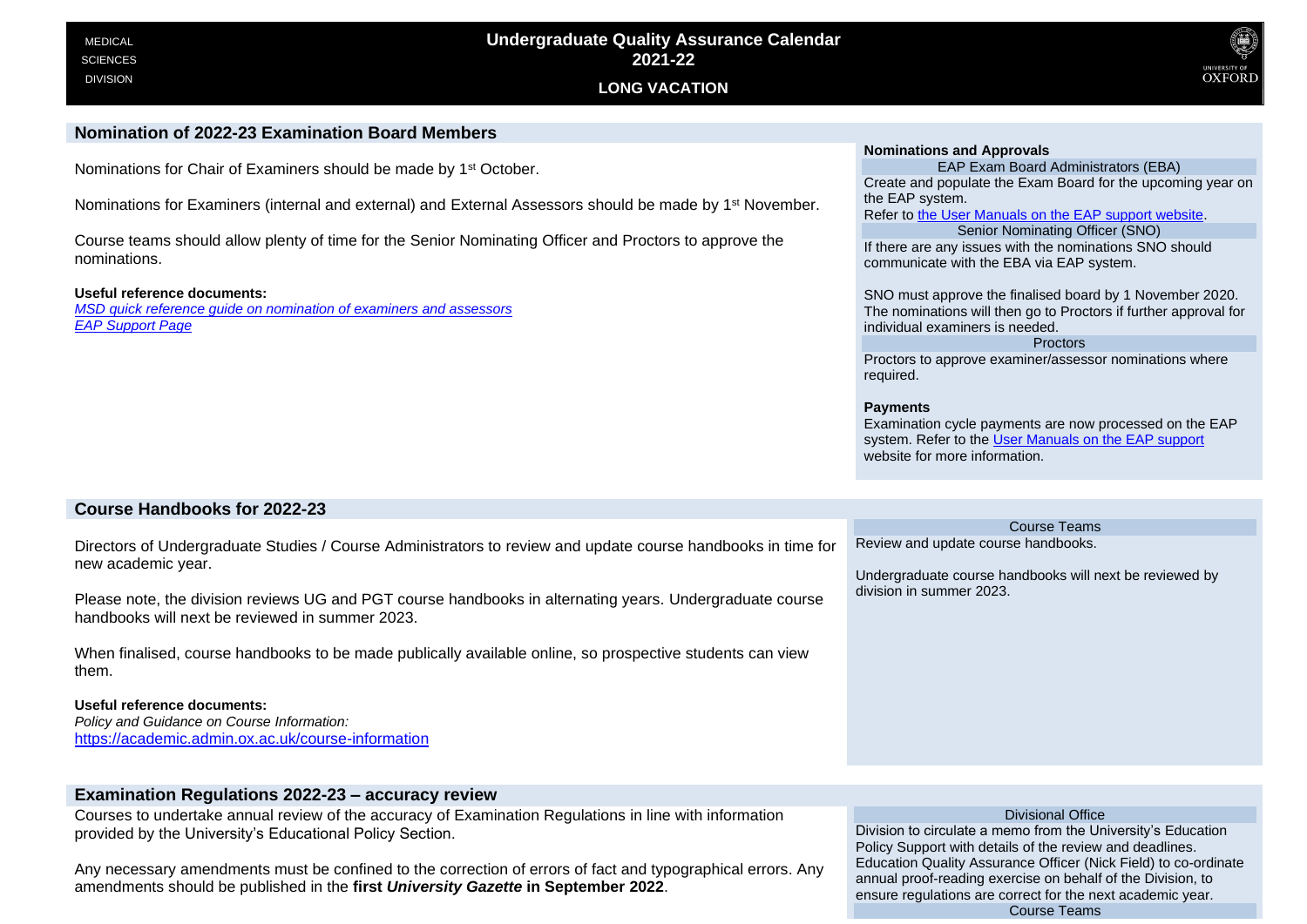

### **Nomination of 2022-23 Examination Board Members**

Nominations for Chair of Examiners should be made by 1<sup>st</sup> October.

Nominations for Examiners (internal and external) and External Assessors should be made by 1<sup>st</sup> November.

Course teams should allow plenty of time for the Senior Nominating Officer and Proctors to approve the nominations.

#### **Useful reference documents:**

*[MSD quick reference guide on nomination of examiners and assessors](https://sharepoint.nexus.ox.ac.uk/sites/medsci/msd-education-team/msd-ug-resources/Shared%20Documents/Examiner%20and%20Assessor%20Nominations_UG.pdf) [EAP Support Page](https://academic.admin.ox.ac.uk/getting-help-with-eap#tab-1219126)*

#### **Nominations and Approvals**

EAP Exam Board Administrators (EBA) Create and populate the Exam Board for the upcoming year on the EAP system.

Refer to [the User Manuals on the EAP support website.](https://academic.admin.ox.ac.uk/getting-help-with-eap#tab-1219126)

Senior Nominating Officer (SNO) If there are any issues with the nominations SNO should communicate with the EBA via EAP system.

SNO must approve the finalised board by 1 November 2020. The nominations will then go to Proctors if further approval for individual examiners is needed.

### Proctors

Proctors to approve examiner/assessor nominations where required.

#### **Payments**

Examination cycle payments are now processed on the EAP system. Refer to th[e User Manuals on the EAP support](https://academic.admin.ox.ac.uk/getting-help-with-eap#tab-1219126) website for more information

Course Teams

Undergraduate course handbooks will next be reviewed by

Review and update course handbooks.

division in summer 2023.

### **Course Handbooks for 2022-23**

Directors of Undergraduate Studies / Course Administrators to review and update course handbooks in time for new academic year.

Please note, the division reviews UG and PGT course handbooks in alternating years. Undergraduate course handbooks will next be reviewed in summer 2023.

When finalised, course handbooks to be made publically available online, so prospective students can view them.

#### **Useful reference documents:**

*Policy and Guidance on Course Information:* <https://academic.admin.ox.ac.uk/course-information>

# **Examination Regulations 2022-23 – accuracy review**

Courses to undertake annual review of the accuracy of Examination Regulations in line with information provided by the University's Educational Policy Section.

Any necessary amendments must be confined to the correction of errors of fact and typographical errors. Any amendments should be published in the **first** *University Gazette* **in September 2022**.

Divisional Office Division to circulate a memo from the University's Education Policy Support with details of the review and deadlines. Education Quality Assurance Officer (Nick Field) to co-ordinate annual proof-reading exercise on behalf of the Division, to ensure regulations are correct for the next academic year. Course Teams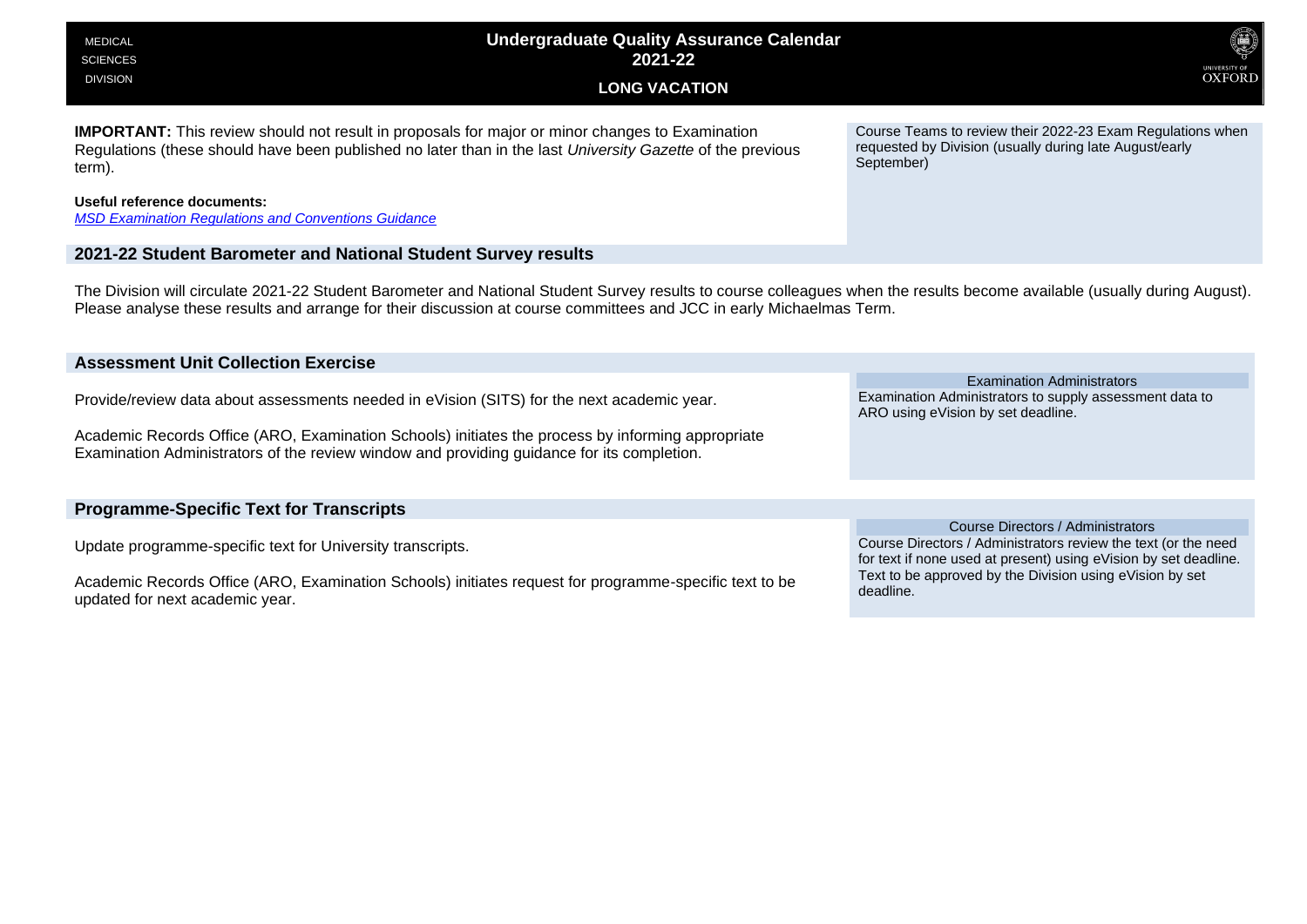| <b>Undergraduate Quality Assurance Calendar</b><br><b>MEDICAL</b><br>2021-22<br><b>SCIENCES</b><br><b>DIVISION</b><br><b>LONG VACATION</b>                                                                                                                                                        | <b>OXFORD</b>                                                                                                                                                                                                                                    |
|---------------------------------------------------------------------------------------------------------------------------------------------------------------------------------------------------------------------------------------------------------------------------------------------------|--------------------------------------------------------------------------------------------------------------------------------------------------------------------------------------------------------------------------------------------------|
| <b>IMPORTANT:</b> This review should not result in proposals for major or minor changes to Examination<br>Regulations (these should have been published no later than in the last University Gazette of the previous<br>term).                                                                    | Course Teams to review their 2022-23 Exam Regulations when<br>requested by Division (usually during late August/early<br>September)                                                                                                              |
| Useful reference documents:<br><b>MSD Examination Regulations and Conventions Guidance</b>                                                                                                                                                                                                        |                                                                                                                                                                                                                                                  |
| 2021-22 Student Barometer and National Student Survey results                                                                                                                                                                                                                                     |                                                                                                                                                                                                                                                  |
| The Division will circulate 2021-22 Student Barometer and National Student Survey results to course colleagues when the results become available (usually during August).<br>Please analyse these results and arrange for their discussion at course committees and JCC in early Michaelmas Term. |                                                                                                                                                                                                                                                  |
| <b>Assessment Unit Collection Exercise</b>                                                                                                                                                                                                                                                        |                                                                                                                                                                                                                                                  |
| Provide/review data about assessments needed in eVision (SITS) for the next academic year.                                                                                                                                                                                                        | <b>Examination Administrators</b><br>Examination Administrators to supply assessment data to<br>ARO using eVision by set deadline.                                                                                                               |
| Academic Records Office (ARO, Examination Schools) initiates the process by informing appropriate<br>Examination Administrators of the review window and providing guidance for its completion.                                                                                                   |                                                                                                                                                                                                                                                  |
|                                                                                                                                                                                                                                                                                                   |                                                                                                                                                                                                                                                  |
| <b>Programme-Specific Text for Transcripts</b>                                                                                                                                                                                                                                                    |                                                                                                                                                                                                                                                  |
| Update programme-specific text for University transcripts.<br>Academic Records Office (ARO, Examination Schools) initiates request for programme-specific text to be<br>updated for next academic year.                                                                                           | Course Directors / Administrators<br>Course Directors / Administrators review the text (or the need<br>for text if none used at present) using eVision by set deadline.<br>Text to be approved by the Division using eVision by set<br>deadline. |